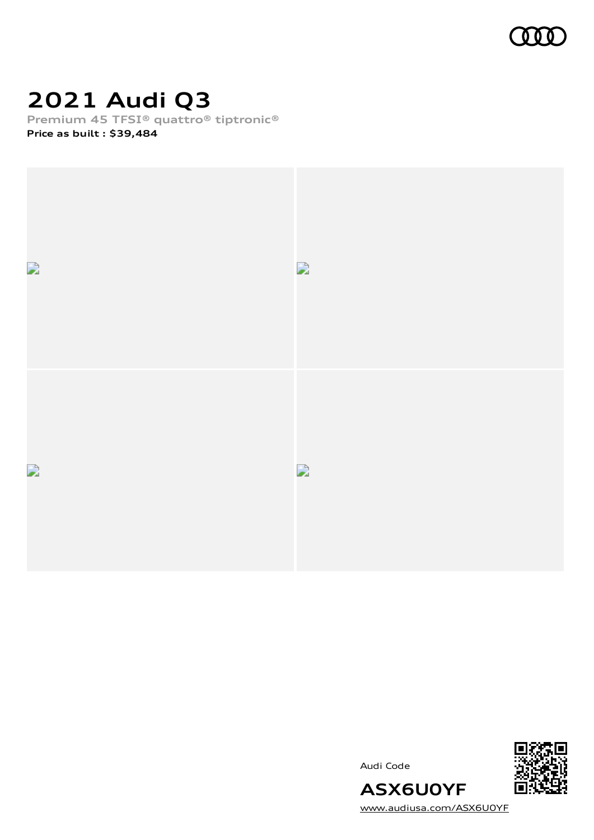

# **2021 Audi Q3**

**Premium 45 TFSI® quattro® tiptronic®**

**Price as built [:](#page-10-0) \$39,484**



Audi Code



[www.audiusa.com/ASX6U0YF](https://www.audiusa.com/ASX6U0YF)

**ASX6U0YF**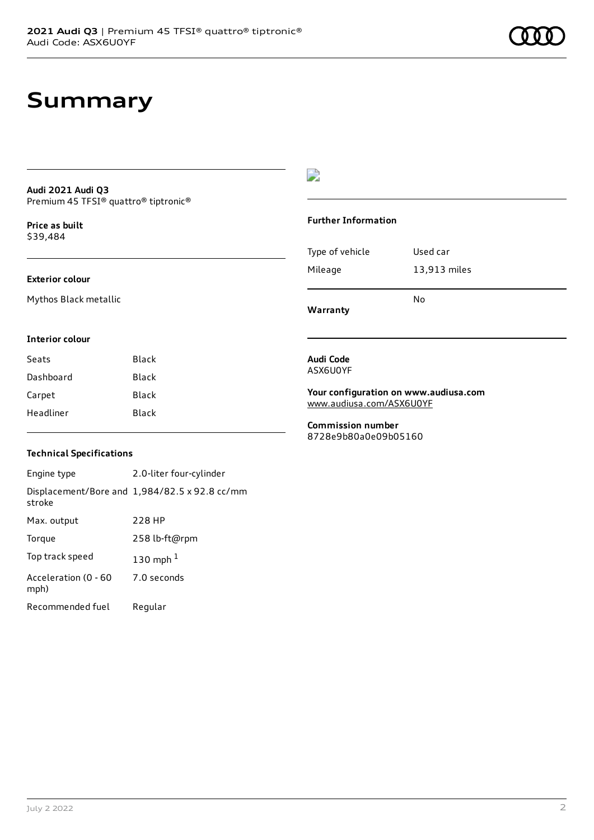## **Summary**

### **Audi 2021 Audi Q3** Premium 45 TFSI® quattro® tiptronic®

**Price as buil[t](#page-10-0)** \$39,484

### **Exterior colour**

Mythos Black metallic

### $\overline{\phantom{a}}$

### **Further Information**

|                 | N٥           |
|-----------------|--------------|
| Mileage         | 13,913 miles |
| Type of vehicle | Used car     |

**Warranty**

#### **Interior colour**

| Seats     | Black |
|-----------|-------|
| Dashboard | Black |
| Carpet    | Black |
| Headliner | Black |

#### **Audi Code** ASX6U0YF

#### **Your configuration on www.audiusa.com** [www.audiusa.com/ASX6U0YF](https://www.audiusa.com/ASX6U0YF)

**Commission number** 8728e9b80a0e09b05160

### **Technical Specifications**

| Engine type                  | 2.0-liter four-cylinder                       |
|------------------------------|-----------------------------------------------|
| stroke                       | Displacement/Bore and 1,984/82.5 x 92.8 cc/mm |
| Max. output                  | 228 HP                                        |
| Torque                       | 258 lb-ft@rpm                                 |
| Top track speed              | 130 mph $1$                                   |
| Acceleration (0 - 60<br>mph) | 7.0 seconds                                   |
| Recommended fuel             | Regular                                       |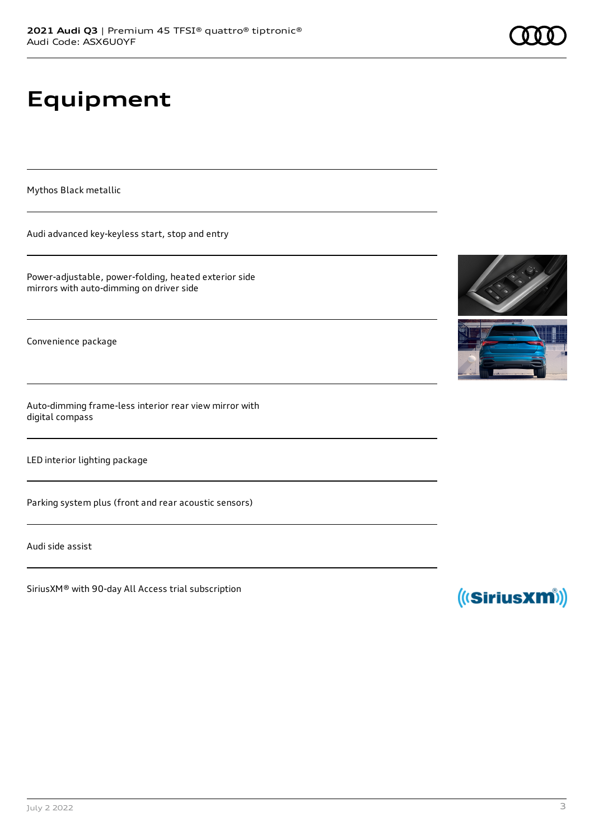# **Equipment**

Mythos Black metallic

Audi advanced key-keyless start, stop and entry

Power-adjustable, power-folding, heated exterior side mirrors with auto-dimming on driver side

Convenience package

Auto-dimming frame-less interior rear view mirror with digital compass

LED interior lighting package

Parking system plus (front and rear acoustic sensors)

Audi side assist

SiriusXM® with 90-day All Access trial subscription





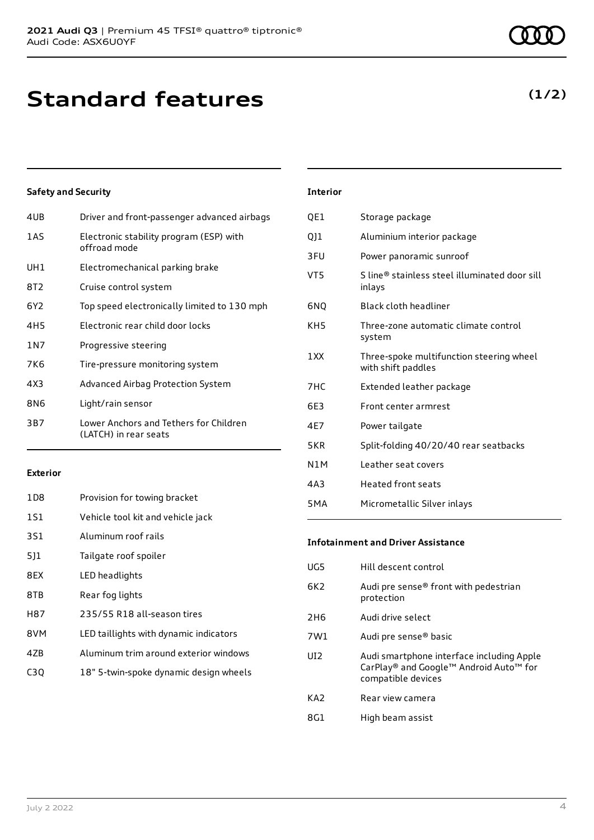# **Standard features**

### **Safety and Security**

| 4UB             | Driver and front-passenger advanced airbags                     |
|-----------------|-----------------------------------------------------------------|
| 1AS             | Electronic stability program (ESP) with<br>offroad mode         |
| UH1             | Electromechanical parking brake                                 |
| 8T2             | Cruise control system                                           |
| 6Y <sub>2</sub> | Top speed electronically limited to 130 mph                     |
| 4H <sub>5</sub> | Electronic rear child door locks                                |
| 1 N 7           | Progressive steering                                            |
| 7K6             | Tire-pressure monitoring system                                 |
| 4X3             | Advanced Airbag Protection System                               |
| 8N6             | Light/rain sensor                                               |
| 3B7             | Lower Anchors and Tethers for Children<br>(LATCH) in rear seats |

### **Exterior**

| 1D <sub>8</sub>  | Provision for towing bracket           |
|------------------|----------------------------------------|
| 1S1              | Vehicle tool kit and vehicle jack      |
| 3S1              | Aluminum roof rails                    |
| 5]1              | Tailgate roof spoiler                  |
| 8EX              | LED headlights                         |
| 8TB              | Rear fog lights                        |
| H87              | 235/55 R18 all-season tires            |
| 8VM              | LED taillights with dynamic indicators |
| 47 <sub>B</sub>  | Aluminum trim around exterior windows  |
| C <sub>3</sub> Q | 18" 5-twin-spoke dynamic design wheels |

### **Interior**

| OE1              | Storage package                                                |
|------------------|----------------------------------------------------------------|
| Q]1              | Aluminium interior package                                     |
| 3FU              | Power panoramic sunroof                                        |
| VT5              | S line® stainless steel illuminated door sill<br>inlays        |
| 6NO              | Black cloth headliner                                          |
| KH5              | Three-zone automatic climate control<br>system                 |
| 1XX              | Three-spoke multifunction steering wheel<br>with shift paddles |
| 7HC              | Extended leather package                                       |
| 6E3              | Front center armrest                                           |
| 4E7              | Power tailgate                                                 |
| 5KR              | Split-folding 40/20/40 rear seatbacks                          |
| N1M              | Leather seat covers                                            |
| 4A3              | <b>Heated front seats</b>                                      |
| 5 <sub>M</sub> A | Micrometallic Silver inlays                                    |

### **Infotainment and Driver Assistance**

| UG5             | Hill descent control                                                                                      |
|-----------------|-----------------------------------------------------------------------------------------------------------|
| 6K <sub>2</sub> | Audi pre sense® front with pedestrian<br>protection                                                       |
| 2H <sub>6</sub> | Audi drive select                                                                                         |
| 7W1             | Audi pre sense® basic                                                                                     |
| UI <sub>2</sub> | Audi smartphone interface including Apple<br>CarPlay® and Google™ Android Auto™ for<br>compatible devices |
| KA <sub>2</sub> | Rear view camera                                                                                          |
| 8G1             | High beam assist                                                                                          |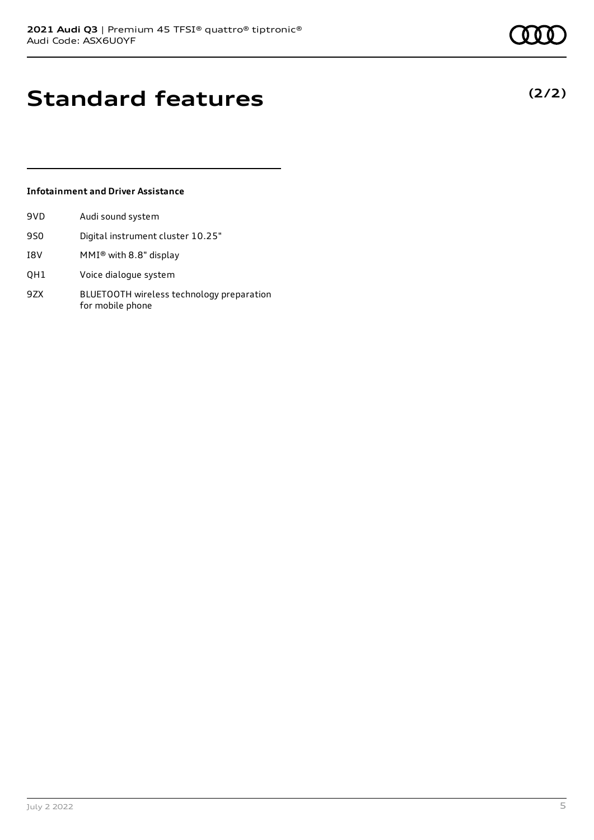**(2/2)**

# **Standard features**

### **Infotainment and Driver Assistance**

| 9VD | Audi sound system                                             |
|-----|---------------------------------------------------------------|
| 9S0 | Digital instrument cluster 10.25"                             |
| I8V | MMI® with 8.8" display                                        |
| QH1 | Voice dialogue system                                         |
| 9ZX | BLUETOOTH wireless technology preparation<br>for mobile phone |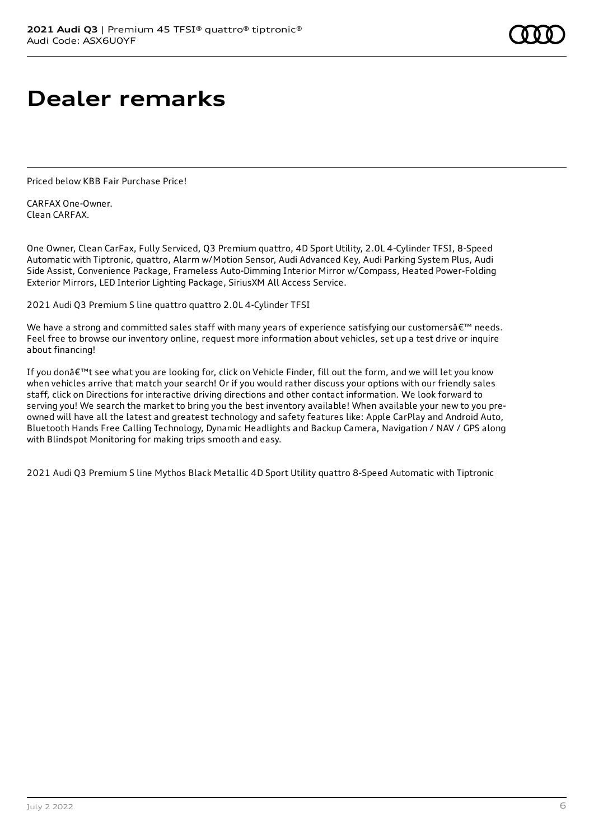# **Dealer remarks**

Priced below KBB Fair Purchase Price!

CARFAX One-Owner. Clean CARFAX.

One Owner, Clean CarFax, Fully Serviced, Q3 Premium quattro, 4D Sport Utility, 2.0L 4-Cylinder TFSI, 8-Speed Automatic with Tiptronic, quattro, Alarm w/Motion Sensor, Audi Advanced Key, Audi Parking System Plus, Audi Side Assist, Convenience Package, Frameless Auto-Dimming Interior Mirror w/Compass, Heated Power-Folding Exterior Mirrors, LED Interior Lighting Package, SiriusXM All Access Service.

2021 Audi Q3 Premium S line quattro quattro 2.0L 4-Cylinder TFSI

We have a strong and committed sales staff with many years of experience satisfying our customersâ€<sup>™</sup> needs. Feel free to browse our inventory online, request more information about vehicles, set up a test drive or inquire about financing!

If you don't see what you are looking for, click on Vehicle Finder, fill out the form, and we will let you know when vehicles arrive that match your search! Or if you would rather discuss your options with our friendly sales staff, click on Directions for interactive driving directions and other contact information. We look forward to serving you! We search the market to bring you the best inventory available! When available your new to you preowned will have all the latest and greatest technology and safety features like: Apple CarPlay and Android Auto, Bluetooth Hands Free Calling Technology, Dynamic Headlights and Backup Camera, Navigation / NAV / GPS along with Blindspot Monitoring for making trips smooth and easy.

2021 Audi Q3 Premium S line Mythos Black Metallic 4D Sport Utility quattro 8-Speed Automatic with Tiptronic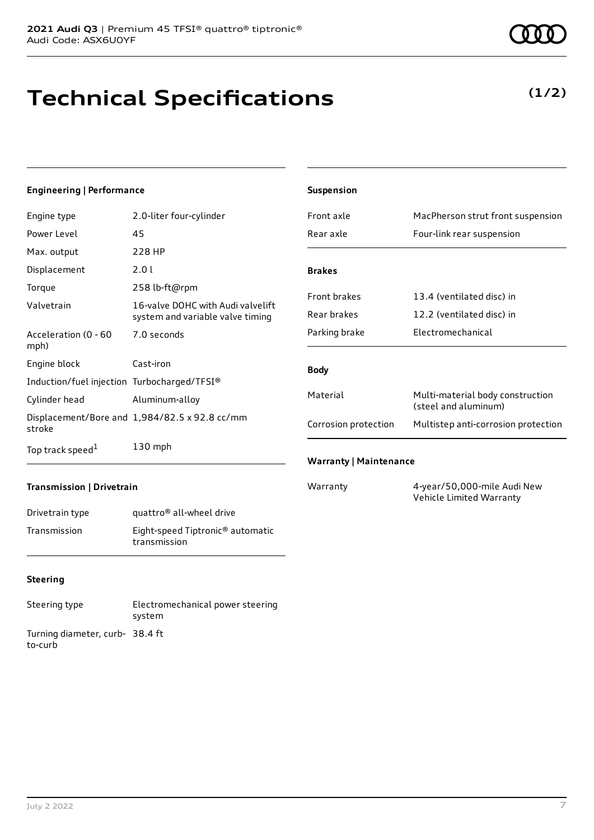# **Technical Specifications**

### **Engineering | Performance**

| Engine type                                 | 2.0-liter four-cylinder                                               |
|---------------------------------------------|-----------------------------------------------------------------------|
| Power Level                                 | 45                                                                    |
| Max. output                                 | 228 HP                                                                |
| Displacement                                | 2.0 L                                                                 |
| Torque                                      | 258 lb-ft@rpm                                                         |
| Valvetrain                                  | 16-valve DOHC with Audi valvelift<br>system and variable valve timing |
| Acceleration (0 - 60<br>mph)                | 7.0 seconds                                                           |
| Engine block                                | Cast-iron                                                             |
| Induction/fuel injection Turbocharged/TFSI® |                                                                       |
| Cylinder head                               | Aluminum-alloy                                                        |
| stroke                                      | Displacement/Bore and 1,984/82.5 x 92.8 cc/mm                         |
| Top track speed <sup>1</sup>                | 130 mph                                                               |

| Suspension                    |                                                          |
|-------------------------------|----------------------------------------------------------|
| Front axle                    | MacPherson strut front suspension                        |
| Rear axle                     | Four-link rear suspension                                |
|                               |                                                          |
| <b>Brakes</b>                 |                                                          |
| <b>Front brakes</b>           | 13.4 (ventilated disc) in                                |
| Rear brakes                   | 12.2 (ventilated disc) in                                |
| Parking brake                 | Flectromechanical                                        |
|                               |                                                          |
| <b>Body</b>                   |                                                          |
| Material                      | Multi-material body construction<br>(steel and aluminum) |
| Corrosion protection          | Multistep anti-corrosion protection                      |
|                               |                                                          |
| <b>Warranty   Maintenance</b> |                                                          |
| Warranty                      | 4-year/50,000-mile Audi New                              |

Vehicle Limited Warranty

### **Transmission | Drivetrain**

| Drivetrain type | quattro <sup>®</sup> all-wheel drive                         |
|-----------------|--------------------------------------------------------------|
| Transmission    | Eight-speed Tiptronic <sup>®</sup> automatic<br>transmission |

### **Steering**

| Steering type                             | Electromechanical power steering<br>system |
|-------------------------------------------|--------------------------------------------|
| Turning diameter, curb-38.4 ft<br>to-curb |                                            |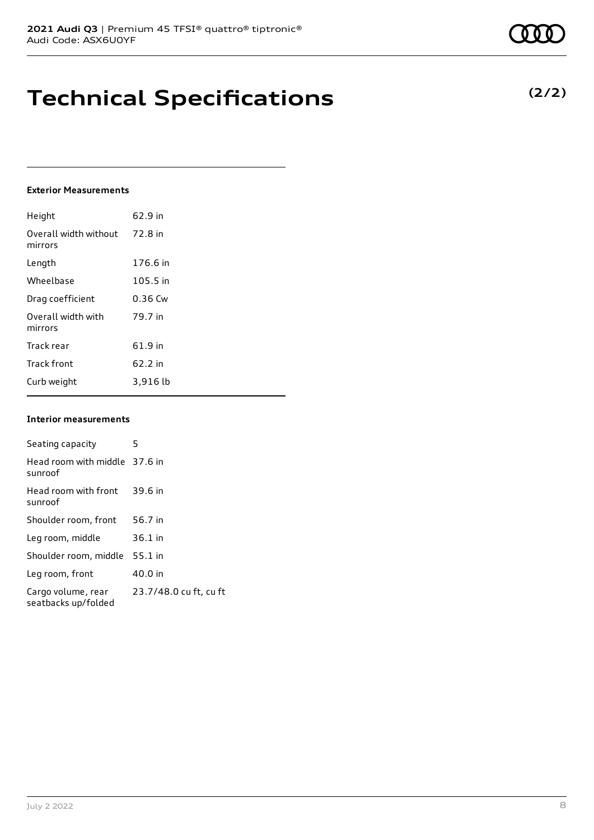## **Technical Specifications**

### **Exterior Measurements**

| Height                           | 62.9 in   |
|----------------------------------|-----------|
| Overall width without<br>mirrors | 72.8 in   |
| Length                           | 176.6 in  |
| Wheelbase                        | 105.5 in  |
| Drag coefficient                 | $0.36$ Cw |
| Overall width with<br>mirrors    | 79.7 in   |
| Track rear                       | 61.9 in   |
| <b>Track front</b>               | $62.2$ in |
| Curb weight                      | 3,916 lb  |

### **Interior measurements**

| Seating capacity                          | 5                      |
|-------------------------------------------|------------------------|
| Head room with middle 37.6 in<br>sunroof  |                        |
| Head room with front<br>sunroof           | 39.6 in                |
| Shoulder room, front                      | 56.7 in                |
| Leg room, middle                          | $36.1$ in              |
| Shoulder room, middle                     | $55.1$ in              |
| Leg room, front                           | 40.0 in                |
| Cargo volume, rear<br>seatbacks up/folded | 23.7/48.0 cu ft, cu ft |

**(2/2)**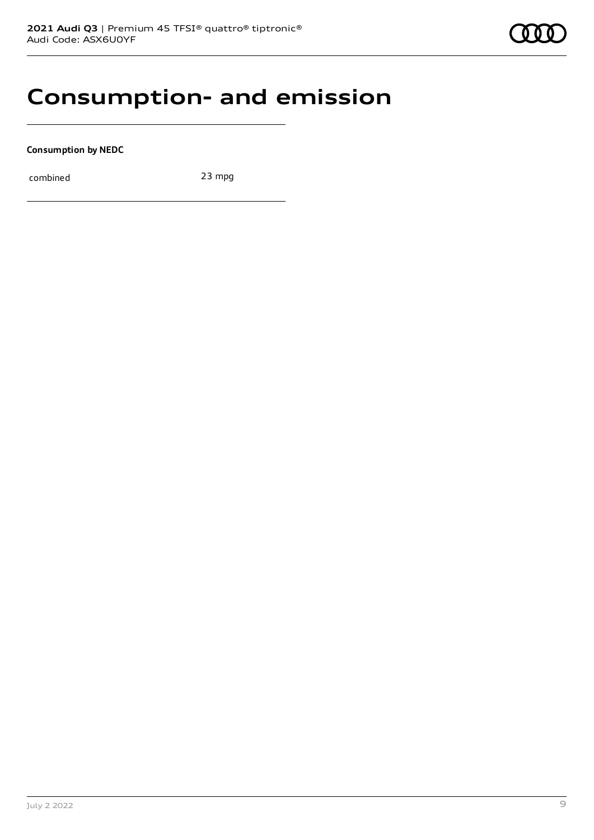### **Consumption- and emission**

**Consumption by NEDC**

combined 23 mpg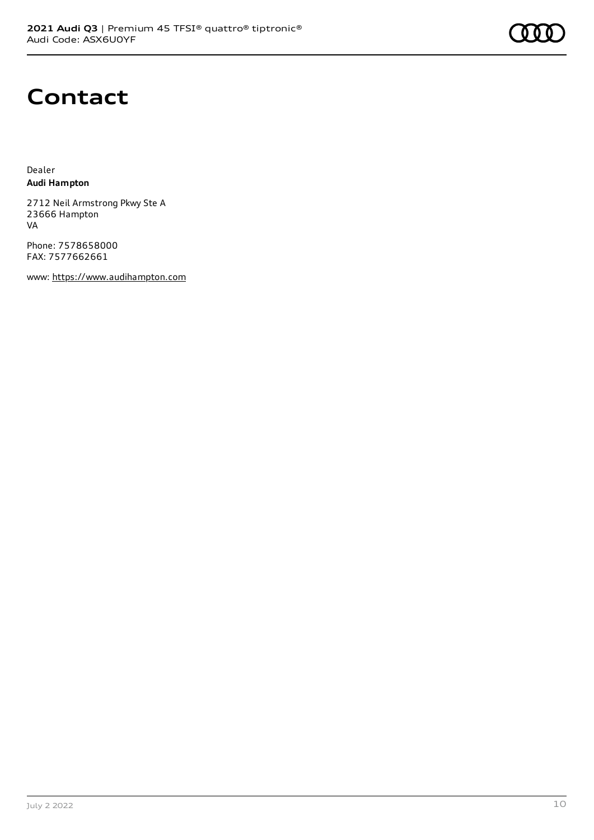### **Contact**

Dealer **Audi Hampton**

2712 Neil Armstrong Pkwy Ste A 23666 Hampton VA

Phone: 7578658000 FAX: 7577662661

www: [https://www.audihampton.com](https://www.audihampton.com/)